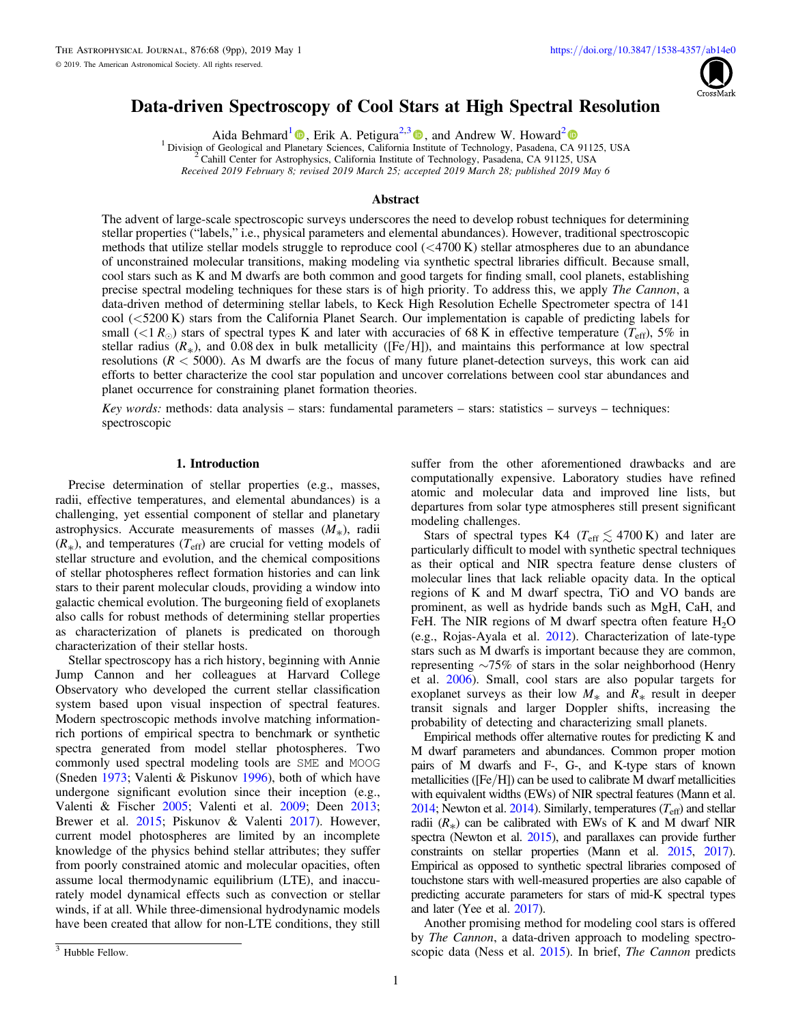

# <span id="page-0-0"></span>Data-driven Spectroscopy of Cool Stars at High Spectral Resolution

Aida Behmard<sup>[1](https://orcid.org/0000-0003-0012-9093)</sup>  $\bullet$ [,](https://orcid.org/0000-0003-0012-9093) Erik A. Petigura<sup>2,[3](https://orcid.org/0000-0003-0967-2893)</sup>  $\bullet$ , and Andrew W. Howard<sup>[2](https://orcid.org/0000-0001-8638-0320)</sup>  $\bullet$ 

<sup>1</sup> Division of Geological and Pl[ane](https://orcid.org/0000-0003-0012-9093)tary Sciences, California [Ins](https://orcid.org/0000-0003-0967-2893)titute of Technology, Pasadena, C[A](https://orcid.org/0000-0001-8638-0320) [9](https://orcid.org/0000-0001-8638-0320)1125, USA  $2$  Cahill Center for Astrophysics, California Institute of Technology, Pasadena, CA 91125, USA

Received 2019 February 8; revised 2019 March 25; accepted 2019 March 28; published 2019 May 6

# Abstract

The advent of large-scale spectroscopic surveys underscores the need to develop robust techniques for determining stellar properties ("labels," i.e., physical parameters and elemental abundances). However, traditional spectroscopic methods that utilize stellar models struggle to reproduce cool (<4700 K) stellar atmospheres due to an abundance of unconstrained molecular transitions, making modeling via synthetic spectral libraries difficult. Because small, cool stars such as K and M dwarfs are both common and good targets for finding small, cool planets, establishing precise spectral modeling techniques for these stars is of high priority. To address this, we apply *The Cannon*, a data-driven method of determining stellar labels, to Keck High Resolution Echelle Spectrometer spectra of 141 cool (<5200 K) stars from the California Planet Search. Our implementation is capable of predicting labels for small ( $\langle 1 R_{\odot}$ ) stars of spectral types K and later with accuracies of 68 K in effective temperature ( $T_{\rm eff}$ ), 5% in stellar radius  $(R_*)$ , and 0.08 dex in bulk metallicity ([Fe/H]), and maintains this performance at low spectral resolutions ( $R < 5000$ ). As M dwarfs are the focus of many future planet-detection surveys, this work can aid efforts to better characterize the cool star population and uncover correlations between cool star abundances and planet occurrence for constraining planet formation theories.

Key words: methods: data analysis – stars: fundamental parameters – stars: statistics – surveys – techniques: spectroscopic

# 1. Introduction

Precise determination of stellar properties (e.g., masses, radii, effective temperatures, and elemental abundances) is a challenging, yet essential component of stellar and planetary astrophysics. Accurate measurements of masses  $(M_*)$ , radii  $(R_*)$ , and temperatures  $(T_{\text{eff}})$  are crucial for vetting models of stellar structure and evolution, and the chemical compositions of stellar photospheres reflect formation histories and can link stars to their parent molecular clouds, providing a window into galactic chemical evolution. The burgeoning field of exoplanets also calls for robust methods of determining stellar properties as characterization of planets is predicated on thorough characterization of their stellar hosts.

Stellar spectroscopy has a rich history, beginning with Annie Jump Cannon and her colleagues at Harvard College Observatory who developed the current stellar classification system based upon visual inspection of spectral features. Modern spectroscopic methods involve matching informationrich portions of empirical spectra to benchmark or synthetic spectra generated from model stellar photospheres. Two commonly used spectral modeling tools are SME and MOOG (Sneden [1973](#page-8-0); Valenti & Piskunov [1996](#page-8-0)), both of which have undergone significant evolution since their inception (e.g., Valenti & Fischer [2005;](#page-8-0) Valenti et al. [2009](#page-8-0); Deen [2013](#page-7-0); Brewer et al. [2015](#page-7-0); Piskunov & Valenti [2017](#page-8-0)). However, current model photospheres are limited by an incomplete knowledge of the physics behind stellar attributes; they suffer from poorly constrained atomic and molecular opacities, often assume local thermodynamic equilibrium (LTE), and inaccurately model dynamical effects such as convection or stellar winds, if at all. While three-dimensional hydrodynamic models have been created that allow for non-LTE conditions, they still

suffer from the other aforementioned drawbacks and are computationally expensive. Laboratory studies have refined atomic and molecular data and improved line lists, but departures from solar type atmospheres still present significant modeling challenges.

Stars of spectral types K4 ( $T_{\text{eff}} \lesssim 4700 \text{ K}$ ) and later are particularly difficult to model with synthetic spectral techniques as their optical and NIR spectra feature dense clusters of molecular lines that lack reliable opacity data. In the optical regions of K and M dwarf spectra, TiO and VO bands are prominent, as well as hydride bands such as MgH, CaH, and FeH. The NIR regions of M dwarf spectra often feature  $H_2O$ (e.g., Rojas-Ayala et al. [2012](#page-8-0)). Characterization of late-type stars such as M dwarfs is important because they are common, representing ∼75% of stars in the solar neighborhood (Henry et al. [2006](#page-7-0)). Small, cool stars are also popular targets for exoplanet surveys as their low  $M_*$  and  $R_*$  result in deeper transit signals and larger Doppler shifts, increasing the probability of detecting and characterizing small planets.

Empirical methods offer alternative routes for predicting K and M dwarf parameters and abundances. Common proper motion pairs of M dwarfs and F-, G-, and K-type stars of known metallicities ( $[Fe/H]$ ) can be used to calibrate M dwarf metallicities with equivalent widths (EWs) of NIR spectral features (Mann et al. [2014;](#page-7-0) Newton et al. [2014](#page-8-0)). Similarly, temperatures  $(T_{\text{eff}})$  and stellar radii  $(R_*)$  can be calibrated with EWs of K and M dwarf NIR spectra (Newton et al. [2015](#page-8-0)), and parallaxes can provide further constraints on stellar properties (Mann et al. [2015](#page-7-0), [2017](#page-7-0)). Empirical as opposed to synthetic spectral libraries composed of touchstone stars with well-measured properties are also capable of predicting accurate parameters for stars of mid-K spectral types and later (Yee et al. [2017](#page-8-0)).

Another promising method for modeling cool stars is offered by *The Cannon*, a data-driven approach to modeling spectroscopic data (Ness et al. [2015](#page-7-0)). In brief, The Cannon predicts

<sup>&</sup>lt;sup>3</sup> Hubble Fellow.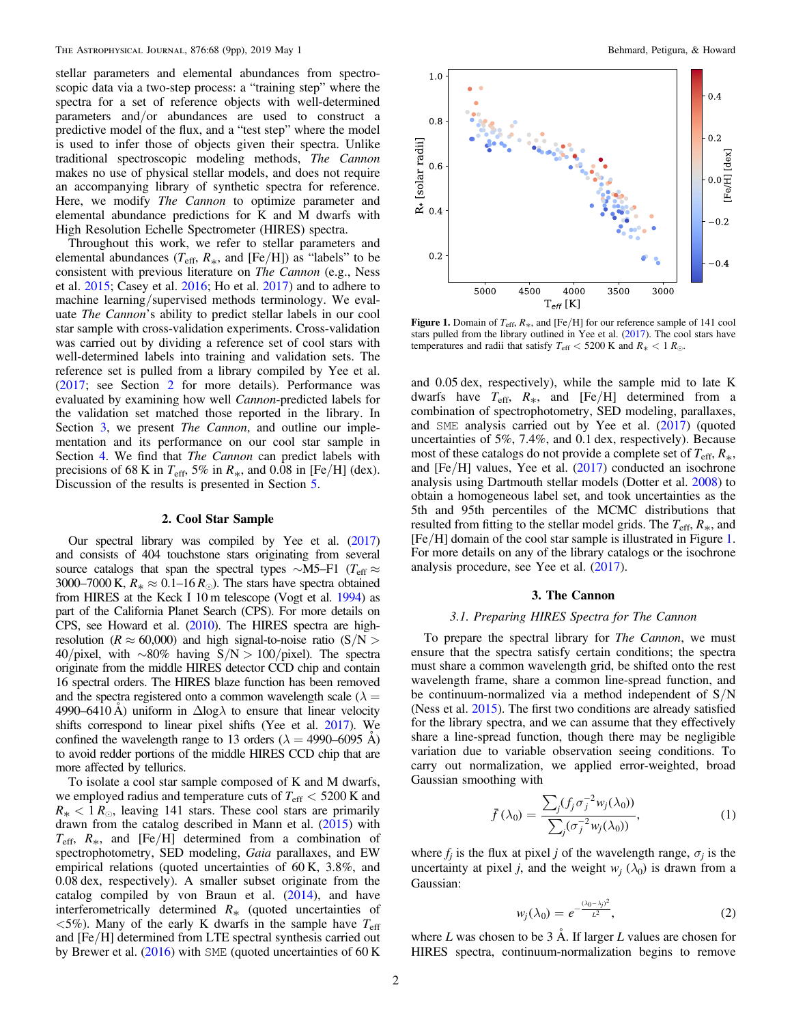stellar parameters and elemental abundances from spectroscopic data via a two-step process: a "training step" where the spectra for a set of reference objects with well-determined parameters and/or abundances are used to construct a predictive model of the flux, and a "test step" where the model is used to infer those of objects given their spectra. Unlike traditional spectroscopic modeling methods, The Cannon makes no use of physical stellar models, and does not require an accompanying library of synthetic spectra for reference. Here, we modify *The Cannon* to optimize parameter and elemental abundance predictions for K and M dwarfs with High Resolution Echelle Spectrometer (HIRES) spectra.

Throughout this work, we refer to stellar parameters and elemental abundances ( $T_{\text{eff}}$ ,  $R_*$ , and [Fe/H]) as "labels" to be consistent with previous literature on The Cannon (e.g., Ness et al. [2015](#page-7-0); Casey et al. [2016](#page-7-0); Ho et al. [2017](#page-7-0)) and to adhere to machine learning/supervised methods terminology. We evaluate The Cannon's ability to predict stellar labels in our cool star sample with cross-validation experiments. Cross-validation was carried out by dividing a reference set of cool stars with well-determined labels into training and validation sets. The reference set is pulled from a library compiled by Yee et al. ([2017](#page-8-0); see Section 2 for more details). Performance was evaluated by examining how well Cannon-predicted labels for the validation set matched those reported in the library. In Section 3, we present *The Cannon*, and outline our implementation and its performance on our cool star sample in Section [4.](#page-3-0) We find that *The Cannon* can predict labels with precisions of 68 K in  $T_{\text{eff}}$ , 5% in  $R_*$ , and 0.08 in [Fe/H] (dex). Discussion of the results is presented in Section [5](#page-6-0).

# 2. Cool Star Sample

Our spectral library was compiled by Yee et al. ([2017](#page-8-0)) and consists of 404 touchstone stars originating from several source catalogs that span the spectral types ∼M5–F1 ( $T_{\text{eff}} \approx$ 3000–7000 K,  $R_* \approx 0.1$ –16 $R_{\odot}$ ). The stars have spectra obtained from HIRES at the Keck I 10 m telescope (Vogt et al. [1994](#page-8-0)) as part of the California Planet Search (CPS). For more details on CPS, see Howard et al. ([2010](#page-7-0)). The HIRES spectra are highresolution ( $R \approx 60,000$ ) and high signal-to-noise ratio ( $S/N >$ 40/pixel, with ∼80% having S/N > 100/pixel). The spectra originate from the middle HIRES detector CCD chip and contain 16 spectral orders. The HIRES blaze function has been removed and the spectra registered onto a common wavelength scale ( $\lambda =$ 4990–6410 Å) uniform in  $\Delta$ log $\lambda$  to ensure that linear velocity shifts correspond to linear pixel shifts (Yee et al. [2017](#page-8-0)). We confined the wavelength range to 13 orders ( $\lambda = 4990{\text -}6095$  A) to avoid redder portions of the middle HIRES CCD chip that are more affected by tellurics.

To isolate a cool star sample composed of K and M dwarfs, we employed radius and temperature cuts of  $T_{\text{eff}} < 5200 \text{ K}$  and  $R_* < 1 R_{\odot}$ , leaving 141 stars. These cool stars are primarily drawn from the catalog described in Mann et al. ([2015](#page-7-0)) with  $T_{\text{eff}}$ ,  $R_*$ , and [Fe/H] determined from a combination of spectrophotometry, SED modeling, Gaia parallaxes, and EW empirical relations (quoted uncertainties of 60 K, 3.8%, and 0.08 dex, respectively). A smaller subset originate from the catalog compiled by von Braun et al. ([2014](#page-8-0)), and have interferometrically determined  $R_{*}$  (quoted uncertainties of  $\langle 5\% \rangle$ . Many of the early K dwarfs in the sample have  $T_{\text{eff}}$ and [Fe/H] determined from LTE spectral synthesis carried out by Brewer et al. ([2016](#page-7-0)) with SME (quoted uncertainties of 60 K



Figure 1. Domain of  $T_{\text{eff}}$ ,  $R_*$ , and [Fe/H] for our reference sample of 141 cool stars pulled from the library outlined in Yee et al. ([2017](#page-8-0)). The cool stars have temperatures and radii that satisfy  $T_{\text{eff}} < 5200 \text{ K}$  and  $R_* < 1 R_{\odot}$ .

and 0.05 dex, respectively), while the sample mid to late K dwarfs have  $T_{\text{eff}}$ ,  $R_*$ , and [Fe/H] determined from a combination of spectrophotometry, SED modeling, parallaxes, and SME analysis carried out by Yee et al. ([2017](#page-8-0)) (quoted uncertainties of 5%, 7.4%, and 0.1 dex, respectively). Because most of these catalogs do not provide a complete set of  $T_{\text{eff}}$ ,  $R_*$ , and  $[Fe/H]$  values, Yee et al.  $(2017)$  $(2017)$  $(2017)$  conducted an isochrone analysis using Dartmouth stellar models (Dotter et al. [2008](#page-7-0)) to obtain a homogeneous label set, and took uncertainties as the 5th and 95th percentiles of the MCMC distributions that resulted from fitting to the stellar model grids. The  $T_{\text{eff}}$ ,  $R_{*}$ , and [Fe/H] domain of the cool star sample is illustrated in Figure 1. For more details on any of the library catalogs or the isochrone analysis procedure, see Yee et al. ([2017](#page-8-0)).

# 3. The Cannon

# 3.1. Preparing HIRES Spectra for The Cannon

To prepare the spectral library for The Cannon, we must ensure that the spectra satisfy certain conditions; the spectra must share a common wavelength grid, be shifted onto the rest wavelength frame, share a common line-spread function, and be continuum-normalized via a method independent of  $S/N$ (Ness et al. [2015](#page-7-0)). The first two conditions are already satisfied for the library spectra, and we can assume that they effectively share a line-spread function, though there may be negligible variation due to variable observation seeing conditions. To carry out normalization, we applied error-weighted, broad Gaussian smoothing with

$$
\bar{f}(\lambda_0) = \frac{\sum_j (f_j \sigma_j^{-2} w_j(\lambda_0))}{\sum_j (\sigma_j^{-2} w_j(\lambda_0))},\tag{1}
$$

where  $f_j$  is the flux at pixel j of the wavelength range,  $\sigma_j$  is the uncertainty at pixel j, and the weight  $w_i$  ( $\lambda_0$ ) is drawn from a Gaussian:

$$
w_j(\lambda_0) = e^{-\frac{(\lambda_0 - \lambda_j)^2}{L^2}}, \tag{2}
$$

where  $L$  was chosen to be 3 Å. If larger  $L$  values are chosen for HIRES spectra, continuum-normalization begins to remove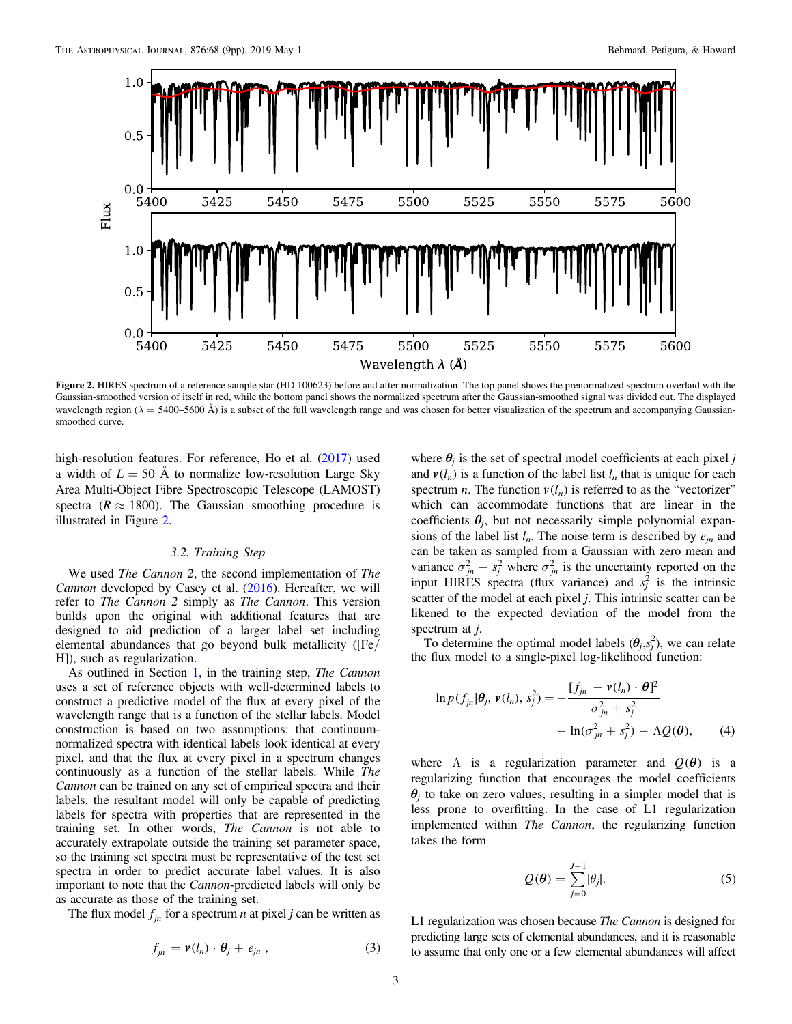<span id="page-2-0"></span>

Figure 2. HIRES spectrum of a reference sample star (HD 100623) before and after normalization. The top panel shows the prenormalized spectrum overlaid with the Gaussian-smoothed version of itself in red, while the bottom panel shows the normalized spectrum after the Gaussian-smoothed signal was divided out. The displayed wavelength region ( $\lambda = 5400-5600$  Å) is a subset of the full wavelength range and was chosen for better visualization of the spectrum and accompanying Gaussiansmoothed curve.

high-resolution features. For reference, Ho et al. ([2017](#page-7-0)) used a width of  $L = 50$  Å to normalize low-resolution Large Sky Area Multi-Object Fibre Spectroscopic Telescope (LAMOST) spectra ( $R \approx 1800$ ). The Gaussian smoothing procedure is illustrated in Figure 2.

# 3.2. Training Step

We used *The Cannon 2*, the second implementation of *The* Cannon developed by Casey et al. ([2016](#page-7-0)). Hereafter, we will refer to The Cannon 2 simply as The Cannon. This version builds upon the original with additional features that are designed to aid prediction of a larger label set including elemental abundances that go beyond bulk metallicity ([Fe/ H]), such as regularization.

As outlined in Section [1,](#page-0-0) in the training step, *The Cannon* uses a set of reference objects with well-determined labels to construct a predictive model of the flux at every pixel of the wavelength range that is a function of the stellar labels. Model construction is based on two assumptions: that continuumnormalized spectra with identical labels look identical at every pixel, and that the flux at every pixel in a spectrum changes continuously as a function of the stellar labels. While The Cannon can be trained on any set of empirical spectra and their labels, the resultant model will only be capable of predicting labels for spectra with properties that are represented in the training set. In other words, The Cannon is not able to accurately extrapolate outside the training set parameter space, so the training set spectra must be representative of the test set spectra in order to predict accurate label values. It is also important to note that the Cannon-predicted labels will only be as accurate as those of the training set.

The flux model  $f_{in}$  for a spectrum *n* at pixel *j* can be written as

$$
f_{jn} = \mathbf{v}(l_n) \cdot \boldsymbol{\theta}_j + e_{jn} \,, \tag{3}
$$

where  $\theta_i$  is the set of spectral model coefficients at each pixel j and  $v(l_n)$  is a function of the label list  $l_n$  that is unique for each spectrum *n*. The function  $v(l_n)$  is referred to as the "vectorizer" which can accommodate functions that are linear in the coefficients  $\theta_i$ , but not necessarily simple polynomial expansions of the label list  $l_n$ . The noise term is described by  $e_{in}$  and can be taken as sampled from a Gaussian with zero mean and variance  $\sigma_{jn}^2 + s_j^2$  where  $\sigma_{jn}^2$  is the uncertainty reported on the input HIRES spectra (flux variance) and  $s_j^2$  is the intrinsic scatter of the model at each pixel  $j$ . This intrinsic scatter can be likened to the expected deviation of the model from the spectrum at *i*.

To determine the optimal model labels  $(\theta_j, s_j^2)$ , we can relate the flux model to a single-pixel log-likelihood function:

$$
\ln p(f_{jn}|\theta_j, \nu(l_n), s_j^2) = -\frac{[f_{jn} - \nu(l_n) \cdot \theta]^2}{\sigma_{jn}^2 + s_j^2} - \ln(\sigma_{jn}^2 + s_j^2) - \Lambda Q(\theta), \qquad (4)
$$

where  $\Lambda$  is a regularization parameter and  $O(\theta)$  is a regularizing function that encourages the model coefficients  $\theta_i$  to take on zero values, resulting in a simpler model that is less prone to overfitting. In the case of L1 regularization implemented within The Cannon, the regularizing function takes the form

$$
Q(\theta) = \sum_{j=0}^{J-1} |\theta_j|.
$$
 (5)

L1 regularization was chosen because *The Cannon* is designed for predicting large sets of elemental abundances, and it is reasonable to assume that only one or a few elemental abundances will affect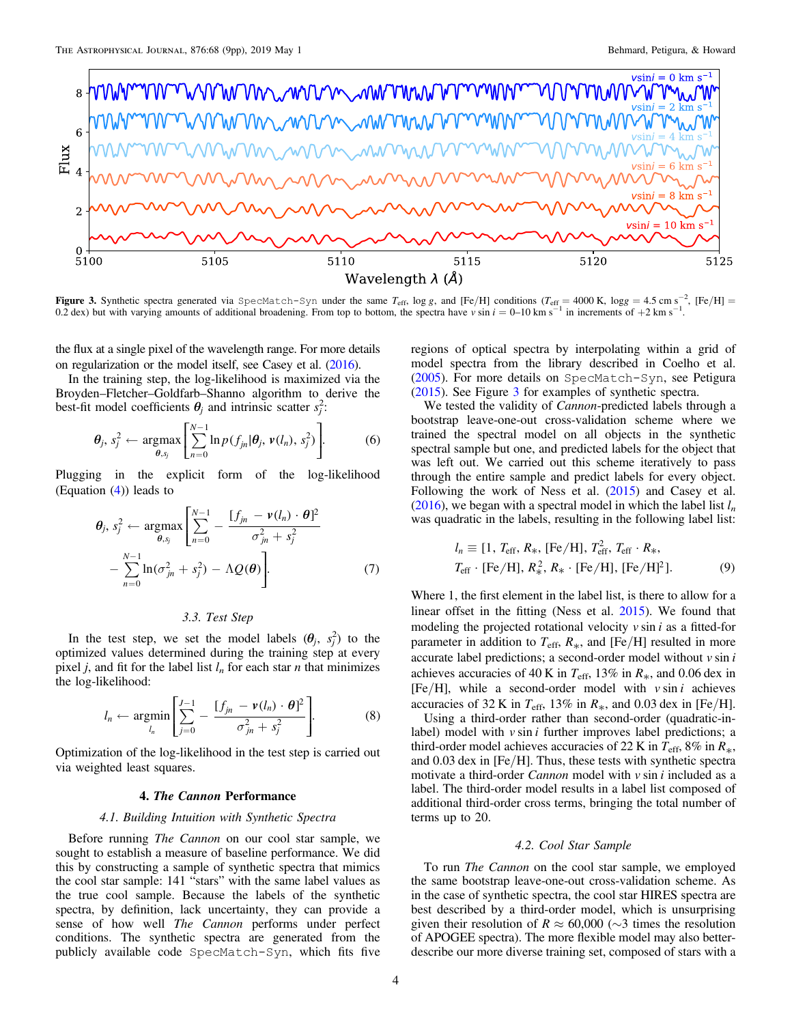<span id="page-3-0"></span>

**Figure 3.** Synthetic spectra generated via SpecMatch-Syn under the same  $T_{\text{eff}}$ , log g, and [Fe/H] conditions  $(T_{\text{eff}} = 4000 \text{ K}$ , logg = 4.5 cm s<sup>-2</sup>, [Fe/H] = 0.2 dex) but with varying amounts of additional broadeni

the flux at a single pixel of the wavelength range. For more details on regularization or the model itself, see Casey et al. ([2016](#page-7-0)).

In the training step, the log-likelihood is maximized via the Broyden–Fletcher–Goldfarb–Shanno algorithm to derive the best-fit model coefficients  $\theta_j$  and intrinsic scatter  $s_j^2$ :

$$
\boldsymbol{\theta}_j, s_j^2 \leftarrow \underset{\boldsymbol{\theta}, s_j}{\text{argmax}} \left[ \sum_{n=0}^{N-1} \ln p(f_{jn} | \boldsymbol{\theta}_j, \boldsymbol{v}(l_n), s_j^2) \right]. \tag{6}
$$

Plugging in the explicit form of the log-likelihood (Equation  $(4)$  $(4)$  $(4)$ ) leads to

$$
\theta_j, s_j^2 \leftarrow \underset{\theta, s_j}{\operatorname{argmax}} \left[ \sum_{n=0}^{N-1} - \frac{[f_{jn} - \nu(l_n) \cdot \theta]^2}{\sigma_{jn}^2 + s_j^2} - \sum_{n=0}^{N-1} \ln(\sigma_{jn}^2 + s_j^2) - \Lambda Q(\theta) \right].
$$
\n(7)

# 3.3. Test Step

In the test step, we set the model labels  $(\theta_j, s_j^2)$  to the optimized values determined during the training step at every pixel *j*, and fit for the label list  $l_n$  for each star *n* that minimizes the log-likelihood:

$$
l_n \leftarrow \underset{l_n}{\text{argmin}} \left[ \sum_{j=0}^{J-1} - \frac{[f_{jn} - \nu(l_n) \cdot \theta]^2}{\sigma_{jn}^2 + s_j^2} \right]. \tag{8}
$$

Optimization of the log-likelihood in the test step is carried out via weighted least squares.

# 4. The Cannon Performance

#### 4.1. Building Intuition with Synthetic Spectra

Before running The Cannon on our cool star sample, we sought to establish a measure of baseline performance. We did this by constructing a sample of synthetic spectra that mimics the cool star sample: 141 "stars" with the same label values as the true cool sample. Because the labels of the synthetic spectra, by definition, lack uncertainty, they can provide a sense of how well The Cannon performs under perfect conditions. The synthetic spectra are generated from the publicly available code SpecMatch-Syn, which fits five regions of optical spectra by interpolating within a grid of model spectra from the library described in Coelho et al. ([2005](#page-7-0)). For more details on SpecMatch-Syn, see Petigura ([2015](#page-8-0)). See Figure 3 for examples of synthetic spectra.

We tested the validity of *Cannon*-predicted labels through a bootstrap leave-one-out cross-validation scheme where we trained the spectral model on all objects in the synthetic spectral sample but one, and predicted labels for the object that was left out. We carried out this scheme iteratively to pass through the entire sample and predict labels for every object. Following the work of Ness et al. ([2015](#page-7-0)) and Casey et al. ([2016](#page-7-0)), we began with a spectral model in which the label list  $l_n$ was quadratic in the labels, resulting in the following label list:

$$
l_n \equiv [1, T_{\rm eff}, R_*, [\rm Fe/H], T_{\rm eff}^2, T_{\rm eff} \cdot R_*,
$$
  

$$
T_{\rm eff} \cdot [\rm Fe/H], R_*^2, R_* \cdot [\rm Fe/H], [\rm Fe/H]^2].
$$
 (9)

Where 1, the first element in the label list, is there to allow for a linear offset in the fitting (Ness et al. [2015](#page-7-0)). We found that modeling the projected rotational velocity  $v \sin i$  as a fitted-for parameter in addition to  $T_{\text{eff}}$ ,  $R_*$ , and [Fe/H] resulted in more accurate label predictions; a second-order model without  $v \sin i$ achieves accuracies of 40 K in  $T_{\text{eff}}$ , 13% in  $R_*$ , and 0.06 dex in [Fe/H], while a second-order model with  $v \sin i$  achieves accuracies of 32 K in  $T_{\text{eff}}$ , 13% in  $R_*$ , and 0.03 dex in [Fe/H].

Using a third-order rather than second-order (quadratic-inlabel) model with  $v \sin i$  further improves label predictions; a third-order model achieves accuracies of 22 K in  $T_{\text{eff}}$ , 8% in  $R_*$ , and 0.03 dex in [Fe/H]. Thus, these tests with synthetic spectra motivate a third-order *Cannon* model with  $v \sin i$  included as a label. The third-order model results in a label list composed of additional third-order cross terms, bringing the total number of terms up to 20.

# 4.2. Cool Star Sample

To run The Cannon on the cool star sample, we employed the same bootstrap leave-one-out cross-validation scheme. As in the case of synthetic spectra, the cool star HIRES spectra are best described by a third-order model, which is unsurprising given their resolution of  $R \approx 60,000$  ( $\sim$ 3 times the resolution of APOGEE spectra). The more flexible model may also betterdescribe our more diverse training set, composed of stars with a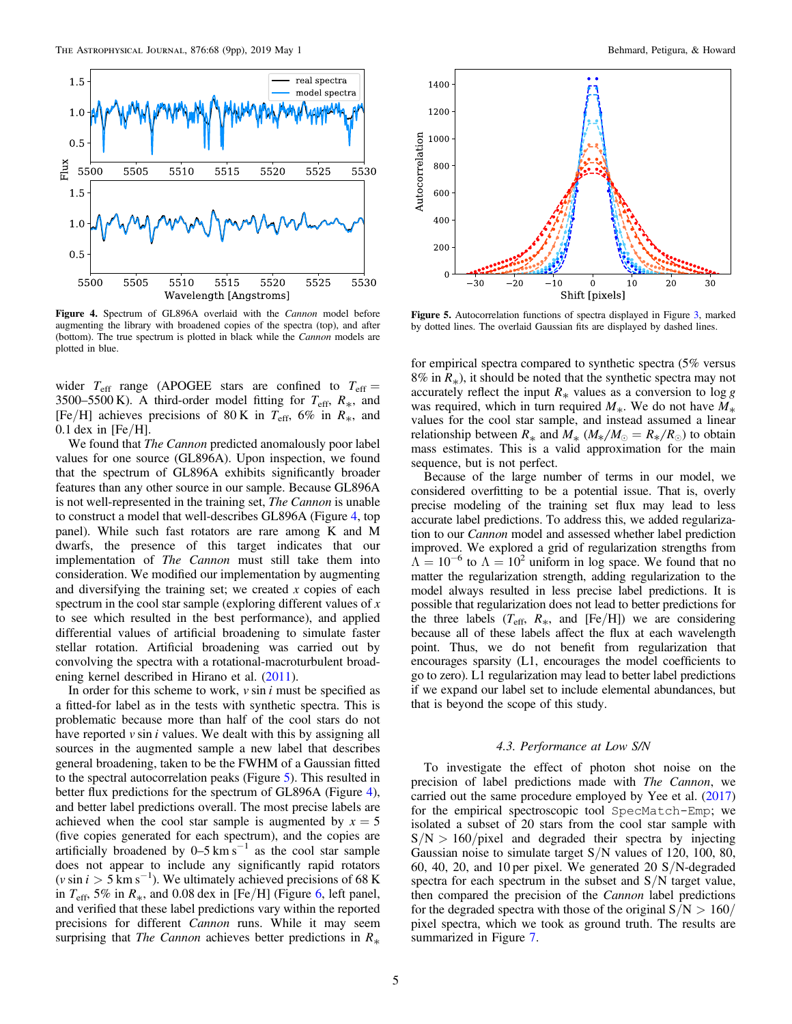

Figure 4. Spectrum of GL896A overlaid with the Cannon model before augmenting the library with broadened copies of the spectra (top), and after (bottom). The true spectrum is plotted in black while the *Cannon* models are plotted in blue.

wider  $T_{\text{eff}}$  range (APOGEE stars are confined to  $T_{\text{eff}} =$ 3500–5500 K). A third-order model fitting for  $T_{\text{eff}}$ ,  $R_*$ , and [Fe/H] achieves precisions of 80 K in  $T_{\text{eff}}$ , 6% in  $R_*$ , and  $0.1$  dex in [Fe/H].

We found that *The Cannon* predicted anomalously poor label values for one source (GL896A). Upon inspection, we found that the spectrum of GL896A exhibits significantly broader features than any other source in our sample. Because GL896A is not well-represented in the training set, The Cannon is unable to construct a model that well-describes GL896A (Figure 4, top panel). While such fast rotators are rare among K and M dwarfs, the presence of this target indicates that our implementation of The Cannon must still take them into consideration. We modified our implementation by augmenting and diversifying the training set; we created  $x$  copies of each spectrum in the cool star sample (exploring different values of  $x$ ) to see which resulted in the best performance), and applied differential values of artificial broadening to simulate faster stellar rotation. Artificial broadening was carried out by convolving the spectra with a rotational-macroturbulent broadening kernel described in Hirano et al. ([2011](#page-7-0)).

In order for this scheme to work,  $v \sin i$  must be specified as a fitted-for label as in the tests with synthetic spectra. This is problematic because more than half of the cool stars do not have reported  $v \sin i$  values. We dealt with this by assigning all sources in the augmented sample a new label that describes general broadening, taken to be the FWHM of a Gaussian fitted to the spectral autocorrelation peaks (Figure 5). This resulted in better flux predictions for the spectrum of GL896A (Figure 4), and better label predictions overall. The most precise labels are achieved when the cool star sample is augmented by  $x = 5$ (five copies generated for each spectrum), and the copies are artificially broadened by  $0-5 \text{ km s}^{-1}$  as the cool star sample does not appear to include any significantly rapid rotators  $(v \sin i > 5 \text{ km s}^{-1})$ . We ultimately achieved precisions of 68 K in  $T_{\text{eff}}$ , 5% in  $R_*$ , and 0.08 dex in [Fe/H] (Figure [6,](#page-5-0) left panel, and verified that these label predictions vary within the reported precisions for different Cannon runs. While it may seem surprising that The Cannon achieves better predictions in  $R_{*}$ 



Figure 5. Autocorrelation functions of spectra displayed in Figure [3,](#page-3-0) marked by dotted lines. The overlaid Gaussian fits are displayed by dashed lines.

for empirical spectra compared to synthetic spectra (5% versus 8% in  $R_{*}$ ), it should be noted that the synthetic spectra may not accurately reflect the input  $R_*$  values as a conversion to log g was required, which in turn required  $M_*$ . We do not have  $M_*$ values for the cool star sample, and instead assumed a linear relationship between  $R_*$  and  $M_*$  ( $M_* / M_{\odot} = R_* / R_{\odot}$ ) to obtain mass estimates. This is a valid approximation for the main sequence, but is not perfect.

Because of the large number of terms in our model, we considered overfitting to be a potential issue. That is, overly precise modeling of the training set flux may lead to less accurate label predictions. To address this, we added regularization to our Cannon model and assessed whether label prediction improved. We explored a grid of regularization strengths from  $\Lambda = 10^{-6}$  to  $\Lambda = 10^2$  uniform in log space. We found that no matter the regularization strength, adding regularization to the model always resulted in less precise label predictions. It is possible that regularization does not lead to better predictions for the three labels ( $T_{\text{eff}}$ ,  $R_*$ , and [Fe/H]) we are considering because all of these labels affect the flux at each wavelength point. Thus, we do not benefit from regularization that encourages sparsity (L1, encourages the model coefficients to go to zero). L1 regularization may lead to better label predictions if we expand our label set to include elemental abundances, but that is beyond the scope of this study.

# 4.3. Performance at Low S/N

To investigate the effect of photon shot noise on the precision of label predictions made with The Cannon, we carried out the same procedure employed by Yee et al. ([2017](#page-8-0)) for the empirical spectroscopic tool SpecMatch-Emp; we isolated a subset of 20 stars from the cool star sample with  $S/N > 160/p$ ixel and degraded their spectra by injecting Gaussian noise to simulate target S/N values of 120, 100, 80, 60, 40, 20, and 10 per pixel. We generated 20 S/N-degraded spectra for each spectrum in the subset and S/N target value, then compared the precision of the Cannon label predictions for the degraded spectra with those of the original  $S/N > 160/$ pixel spectra, which we took as ground truth. The results are summarized in Figure [7](#page-6-0).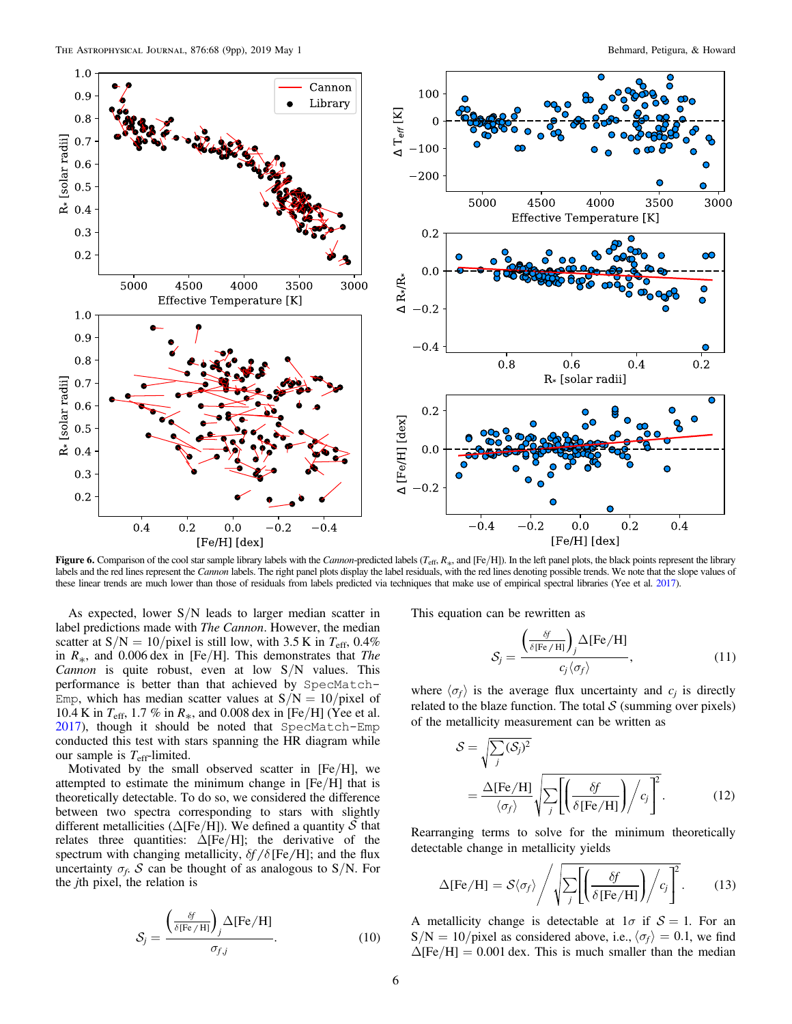<span id="page-5-0"></span>

Figure 6. Comparison of the cool star sample library labels with the Cannon-predicted labels ( $T_{\rm eff}, R_{\ast}$ , and [Fe/H]). In the left panel plots, the black points represent the library labels and the red lines represent the Cannon labels. The right panel plots display the label residuals, with the red lines denoting possible trends. We note that the slope values of these linear trends are much lower than those of residuals from labels predicted via techniques that make use of empirical spectral libraries (Yee et al. [2017](#page-8-0)).

As expected, lower  $S/N$  leads to larger median scatter in label predictions made with *The Cannon*. However, the median scatter at  $S/N = 10/p$ ixel is still low, with 3.5 K in  $T_{\text{eff}}$ , 0.4% in  $R_{*}$ , and 0.006 dex in [Fe/H]. This demonstrates that The Cannon is quite robust, even at low  $S/N$  values. This performance is better than that achieved by SpecMatch-Emp, which has median scatter values at  $S/N = 10$ /pixel of 10.4 K in  $T_{\rm eff}$ , 1.7 % in  $R_*$ , and 0.008 dex in [Fe/H] (Yee et al. [2017](#page-8-0)), though it should be noted that SpecMatch-Emp conducted this test with stars spanning the HR diagram while our sample is  $T_{\text{eff}}$ -limited.

Motivated by the small observed scatter in  $[Fe/H]$ , we attempted to estimate the minimum change in [Fe/H] that is theoretically detectable. To do so, we considered the difference between two spectra corresponding to stars with slightly different metallicities ( $\Delta$ [Fe/H]). We defined a quantity S that relates three quantities:  $\Delta$ [Fe/H]; the derivative of the spectrum with changing metallicity,  $\delta f / \delta$  [Fe/H]; and the flux uncertainty  $\sigma_f$ . S can be thought of as analogous to S/N. For the jth pixel, the relation is

$$
S_j = \frac{\left(\frac{\delta f}{\delta[\text{Fe/H}]}\right)_j \Delta[\text{Fe/H}]}{\sigma_{f,j}}.
$$
 (10)

This equation can be rewritten as

$$
S_j = \frac{\left(\frac{\delta f}{\delta[\text{Fe/H}]}\right)_j \Delta[\text{Fe/H}]}{c_j \langle \sigma_f \rangle}, \tag{11}
$$

where  $\langle \sigma_f \rangle$  is the average flux uncertainty and  $c_i$  is directly related to the blaze function. The total  $S$  (summing over pixels) of the metallicity measurement can be written as

$$
S = \sqrt{\sum_{j} (S_{j})^{2}}
$$
  
=  $\frac{\Delta [\text{Fe/H}]}{\langle \sigma_{f} \rangle} \sqrt{\sum_{j} \left[ \left( \frac{\delta f}{\delta [\text{Fe/H}]} \right) / c_{j} \right]^{2}}$ . (12)

Rearranging terms to solve for the minimum theoretically detectable change in metallicity yields

$$
\Delta[\text{Fe/H}] = S\langle \sigma_f \rangle \Bigg/ \sqrt{\sum_j \Biggl[ \Biggl( \frac{\delta f}{\delta[\text{Fe/H}]}\Biggr) / c_j \Biggr]^2}.
$$
 (13)

A metallicity change is detectable at  $1\sigma$  if  $S = 1$ . For an  $S/N = 10$ /pixel as considered above, i.e.,  $\langle \sigma_f \rangle = 0.1$ , we find  $\Delta$ [Fe/H] = 0.001 dex. This is much smaller than the median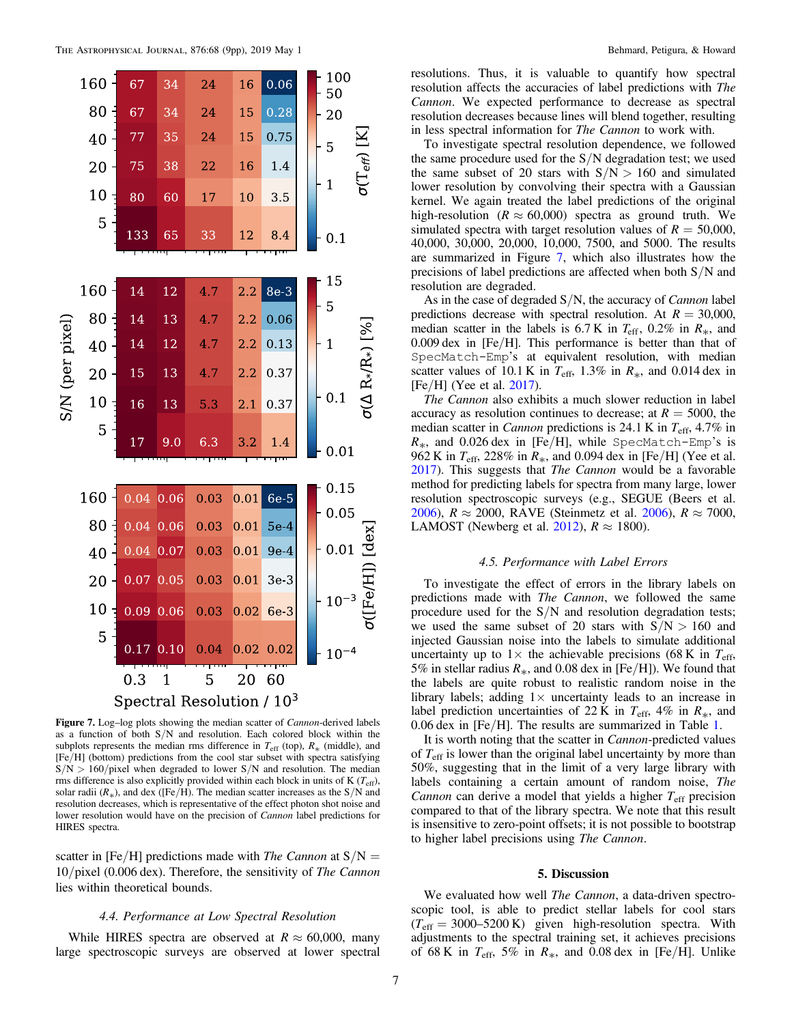<span id="page-6-0"></span>

Figure 7. Log-log plots showing the median scatter of *Cannon*-derived labels as a function of both S/N and resolution. Each colored block within the subplots represents the median rms difference in  $T_{\text{eff}}$  (top),  $R_*$  (middle), and [Fe/H] (bottom) predictions from the cool star subset with spectra satisfying  $S/N > 160$ /pixel when degraded to lower S/N and resolution. The median rms difference is also explicitly provided within each block in units of K ( $T_{\text{eff}}$ ), solar radii  $(R_*)$ , and dex ([Fe/H). The median scatter increases as the S/N and resolution decreases, which is representative of the effect photon shot noise and lower resolution would have on the precision of Cannon label predictions for HIRES spectra.

scatter in [Fe/H] predictions made with *The Cannon* at  $S/N =$ 10/pixel (0.006 dex). Therefore, the sensitivity of The Cannon lies within theoretical bounds.

# 4.4. Performance at Low Spectral Resolution

While HIRES spectra are observed at  $R \approx 60,000$ , many large spectroscopic surveys are observed at lower spectral resolutions. Thus, it is valuable to quantify how spectral resolution affects the accuracies of label predictions with The Cannon. We expected performance to decrease as spectral resolution decreases because lines will blend together, resulting in less spectral information for The Cannon to work with.

To investigate spectral resolution dependence, we followed the same procedure used for the  $S/N$  degradation test; we used the same subset of 20 stars with  $S/N > 160$  and simulated lower resolution by convolving their spectra with a Gaussian kernel. We again treated the label predictions of the original high-resolution ( $R \approx 60,000$ ) spectra as ground truth. We simulated spectra with target resolution values of  $R = 50,000$ , 40,000, 30,000, 20,000, 10,000, 7500, and 5000. The results are summarized in Figure 7, which also illustrates how the precisions of label predictions are affected when both S/N and resolution are degraded.

As in the case of degraded  $S/N$ , the accuracy of *Cannon* label predictions decrease with spectral resolution. At  $R = 30,000$ , median scatter in the labels is  $6.7 \text{ K}$  in  $T_{\text{eff}}$ ,  $0.2\%$  in  $R_*$ , and 0.009 dex in [Fe/H]. This performance is better than that of SpecMatch-Emp's at equivalent resolution, with median scatter values of 10.1 K in  $T_{\text{eff}}$ , 1.3% in  $R_*$ , and 0.014 dex in  $[Fe/H]$  (Yee et al. [2017](#page-8-0)).

The Cannon also exhibits a much slower reduction in label accuracy as resolution continues to decrease; at  $R = 5000$ , the median scatter in *Cannon* predictions is 24.1 K in  $T_{\text{eff}}$ , 4.7% in  $R_*$ , and 0.026 dex in [Fe/H], while SpecMatch-Emp's is 962 K in  $T_{\text{eff}}$ , 228% in  $R_*$ , and 0.094 dex in [Fe/H] (Yee et al. [2017](#page-8-0)). This suggests that *The Cannon* would be a favorable method for predicting labels for spectra from many large, lower resolution spectroscopic surveys (e.g., SEGUE (Beers et al. [2006](#page-8-0)),  $R \approx 2000$ , RAVE (Steinmetz et al. 2006),  $R \approx 7000$ , LAMOST (Newberg et al. [2012](#page-7-0)),  $R \approx 1800$ ).

# 4.5. Performance with Label Errors

To investigate the effect of errors in the library labels on predictions made with The Cannon, we followed the same procedure used for the S/N and resolution degradation tests; we used the same subset of 20 stars with  $S/N > 160$  and injected Gaussian noise into the labels to simulate additional uncertainty up to  $1 \times$  the achievable precisions (68 K in  $T_{\text{eff}}$ , 5% in stellar radius  $R_*$ , and 0.08 dex in [Fe/H]). We found that the labels are quite robust to realistic random noise in the library labels; adding  $1 \times$  uncertainty leads to an increase in label prediction uncertainties of 22 K in  $T_{\text{eff}}$ , 4% in  $R_*$ , and 0.06 dex in [Fe/H]. The results are summarized in Table [1](#page-7-0).

It is worth noting that the scatter in Cannon-predicted values of  $T_{\text{eff}}$  is lower than the original label uncertainty by more than 50%, suggesting that in the limit of a very large library with labels containing a certain amount of random noise, The Cannon can derive a model that yields a higher  $T_{\text{eff}}$  precision compared to that of the library spectra. We note that this result is insensitive to zero-point offsets; it is not possible to bootstrap to higher label precisions using The Cannon.

#### 5. Discussion

We evaluated how well The Cannon, a data-driven spectroscopic tool, is able to predict stellar labels for cool stars  $(T_{\text{eff}} = 3000 - 5200 \text{ K})$  given high-resolution spectra. With adjustments to the spectral training set, it achieves precisions of 68 K in  $T_{\text{eff}}$ , 5% in  $R_*$ , and 0.08 dex in [Fe/H]. Unlike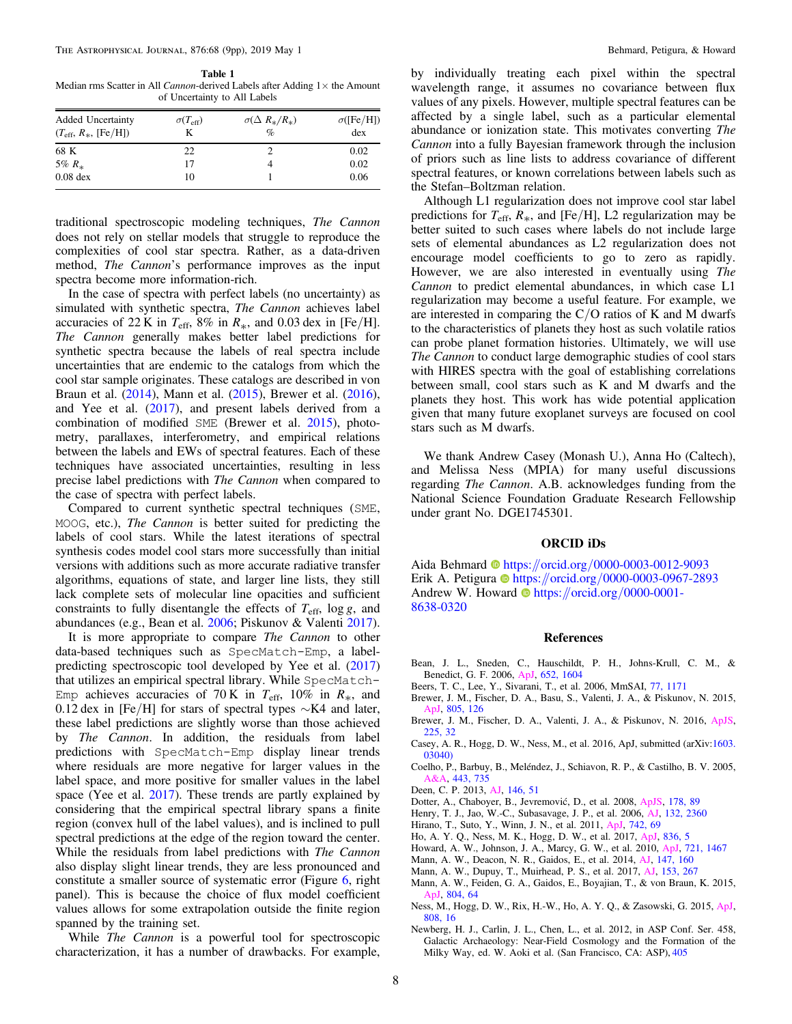<span id="page-7-0"></span>Table 1 Median rms Scatter in All Cannon-derived Labels after Adding  $1 \times$  the Amount of Uncertainty to All Labels

| <b>Added Uncertainty</b><br>$(T_{\rm eff}, R_*,$ [Fe/H]) | $\sigma(T_{\rm eff})$<br>K | $\sigma(\Delta R_*/R_*)$<br>$\%$ | $\sigma$ ([Fe/H])<br>dex |
|----------------------------------------------------------|----------------------------|----------------------------------|--------------------------|
| 68 K                                                     | 22                         |                                  | 0.02                     |
| 5% $R_*$                                                 | 17                         |                                  | 0.02                     |
| $0.08$ dex                                               | 10                         |                                  | 0.06                     |

traditional spectroscopic modeling techniques, The Cannon does not rely on stellar models that struggle to reproduce the complexities of cool star spectra. Rather, as a data-driven method, The Cannon's performance improves as the input spectra become more information-rich.

In the case of spectra with perfect labels (no uncertainty) as simulated with synthetic spectra, The Cannon achieves label accuracies of 22 K in  $T_{\text{eff}}$ , 8% in  $R_*$ , and 0.03 dex in [Fe/H]. The Cannon generally makes better label predictions for synthetic spectra because the labels of real spectra include uncertainties that are endemic to the catalogs from which the cool star sample originates. These catalogs are described in von Braun et al. ([2014](#page-8-0)), Mann et al. (2015), Brewer et al. (2016), and Yee et al. ([2017](#page-8-0)), and present labels derived from a combination of modified SME (Brewer et al. 2015), photometry, parallaxes, interferometry, and empirical relations between the labels and EWs of spectral features. Each of these techniques have associated uncertainties, resulting in less precise label predictions with The Cannon when compared to the case of spectra with perfect labels.

Compared to current synthetic spectral techniques (SME, MOOG, etc.), The Cannon is better suited for predicting the labels of cool stars. While the latest iterations of spectral synthesis codes model cool stars more successfully than initial versions with additions such as more accurate radiative transfer algorithms, equations of state, and larger line lists, they still lack complete sets of molecular line opacities and sufficient constraints to fully disentangle the effects of  $T_{\text{eff}}$ , log g, and abundances (e.g., Bean et al. 2006; Piskunov & Valenti [2017](#page-8-0)).

It is more appropriate to compare *The Cannon* to other data-based techniques such as SpecMatch-Emp, a labelpredicting spectroscopic tool developed by Yee et al. ([2017](#page-8-0)) that utilizes an empirical spectral library. While SpecMatch-Emp achieves accuracies of 70 K in  $T_{\text{eff}}$ , 10% in  $R_*$ , and 0.12 dex in [Fe/H] for stars of spectral types  $\sim$ K4 and later, these label predictions are slightly worse than those achieved by The Cannon. In addition, the residuals from label predictions with SpecMatch-Emp display linear trends where residuals are more negative for larger values in the label space, and more positive for smaller values in the label space (Yee et al. [2017](#page-8-0)). These trends are partly explained by considering that the empirical spectral library spans a finite region (convex hull of the label values), and is inclined to pull spectral predictions at the edge of the region toward the center. While the residuals from label predictions with The Cannon also display slight linear trends, they are less pronounced and constitute a smaller source of systematic error (Figure [6,](#page-5-0) right panel). This is because the choice of flux model coefficient values allows for some extrapolation outside the finite region spanned by the training set.

While *The Cannon* is a powerful tool for spectroscopic characterization, it has a number of drawbacks. For example,

by individually treating each pixel within the spectral wavelength range, it assumes no covariance between flux values of any pixels. However, multiple spectral features can be affected by a single label, such as a particular elemental abundance or ionization state. This motivates converting The Cannon into a fully Bayesian framework through the inclusion of priors such as line lists to address covariance of different spectral features, or known correlations between labels such as the Stefan–Boltzman relation.

Although L1 regularization does not improve cool star label predictions for  $T_{\text{eff}}$ ,  $R_{*}$ , and [Fe/H], L2 regularization may be better suited to such cases where labels do not include large sets of elemental abundances as L2 regularization does not encourage model coefficients to go to zero as rapidly. However, we are also interested in eventually using The Cannon to predict elemental abundances, in which case L1 regularization may become a useful feature. For example, we are interested in comparing the  $C/O$  ratios of K and M dwarfs to the characteristics of planets they host as such volatile ratios can probe planet formation histories. Ultimately, we will use The Cannon to conduct large demographic studies of cool stars with HIRES spectra with the goal of establishing correlations between small, cool stars such as K and M dwarfs and the planets they host. This work has wide potential application given that many future exoplanet surveys are focused on cool stars such as M dwarfs.

We thank Andrew Casey (Monash U.), Anna Ho (Caltech), and Melissa Ness (MPIA) for many useful discussions regarding The Cannon. A.B. acknowledges funding from the National Science Foundation Graduate Research Fellowship under grant No. DGE1745301.

#### ORCID iDs

Aida Behmard @ [https:](https://orcid.org/0000-0003-0012-9093)//orcid.org/[0000-0003-0012-9093](https://orcid.org/0000-0003-0012-9093) Erik A. Petigura C[https:](https://orcid.org/0000-0003-0967-2893)//orcid.org/[0000-0003-0967-2893](https://orcid.org/0000-0003-0967-2893) An[d](https://orcid.org/0000-0001-8638-0320)rew W. Howard  $\bullet$  [https:](https://orcid.org/0000-0001-8638-0320)//orcid.org/[0000-0001-](https://orcid.org/0000-0001-8638-0320) [8638-0320](https://orcid.org/0000-0001-8638-0320)

# References

- Bean, J. L., Sneden, C., Hauschildt, P. H., Johns-Krull, C. M., & Benedict, G. F. 2006, [ApJ](https://doi.org/10.1086/508321), [652, 1604](http://adsabs.harvard.edu/abs/2006ApJ...652.1604B)
- Beers, T. C., Lee, Y., Sivarani, T., et al. 2006, MmSAI, [77, 1171](http://adsabs.harvard.edu/abs/2006MmSAI..77.1171B)
- Brewer, J. M., Fischer, D. A., Basu, S., Valenti, J. A., & Piskunov, N. 2015, [ApJ,](https://doi.org/10.1088/0004-637X/805/2/126) [805, 126](http://adsabs.harvard.edu/abs/2015ApJ...805..126B)
- Brewer, J. M., Fischer, D. A., Valenti, J. A., & Piskunov, N. 2016, [ApJS](https://doi.org/10.3847/0067-0049/225/2/32)[,](http://adsabs.harvard.edu/abs/2016ApJS..225...32B) [225, 32](http://adsabs.harvard.edu/abs/2016ApJS..225...32B)
- Casey, A. R., Hogg, D. W., Ness, M., et al. 2016, ApJ, submitted (arXiv:[1603.](http://arxiv.org/abs/1603.03040) [03040](http://arxiv.org/abs/1603.03040))
- Coelho, P., Barbuy, B., Meléndez, J., Schiavon, R. P., & Castilho, B. V. 2005, [A&A](https://doi.org/10.1051/0004-6361:20053511), [443, 735](http://adsabs.harvard.edu/abs/2005A&A...443..735C)
- Deen, C. P. 2013, [AJ,](https://doi.org/10.1088/0004-6256/146/3/51) [146, 51](http://adsabs.harvard.edu/abs/2013AJ....146...51D)
- Dotter, A., Chaboyer, B., Jevremović, D., et al. 2008, [ApJS](https://doi.org/10.1086/589654), [178, 89](http://adsabs.harvard.edu/abs/2008ApJS..178...89D)
- Henry, T. J., Jao, W.-C., Subasavage, J. P., et al. 2006, [AJ](https://doi.org/10.1086/508233), [132, 2360](http://adsabs.harvard.edu/abs/2006AJ....132.2360H)
- Hirano, T., Suto, Y., Winn, J. N., et al. 2011, [ApJ,](https://doi.org/10.1088/0004-637X/742/2/69) [742, 69](http://adsabs.harvard.edu/abs/2011ApJ...742...69H)
- Ho, A. Y. Q., Ness, M. K., Hogg, D. W., et al. 2017, [ApJ](https://doi.org/10.3847/1538-4357/836/1/5), [836, 5](http://adsabs.harvard.edu/abs/2017ApJ...836....5H)
- Howard, A. W., Johnson, J. A., Marcy, G. W., et al. 2010, [ApJ](https://doi.org/10.1088/0004-637X/721/2/1467), [721, 1467](http://adsabs.harvard.edu/abs/2010ApJ...721.1467H)
- Mann, A. W., Deacon, N. R., Gaidos, E., et al. 2014, [AJ](https://doi.org/10.1088/0004-6256/147/6/160), [147, 160](http://adsabs.harvard.edu/abs/2014AJ....147..160M)
- Mann, A. W., Dupuy, T., Muirhead, P. S., et al. 2017, [AJ,](https://doi.org/10.3847/1538-3881/aa7140) [153, 267](http://adsabs.harvard.edu/abs/2017AJ....153..267M)
- Mann, A. W., Feiden, G. A., Gaidos, E., Boyajian, T., & von Braun, K. 2015, [ApJ,](https://doi.org/10.1088/0004-637X/804/1/64) [804, 64](http://adsabs.harvard.edu/abs/2015ApJ...804...64M)
- Ness, M., Hogg, D. W., Rix, H.-W., Ho, A. Y. Q., & Zasowski, G. 2015, [ApJ](https://doi.org/10.1088/0004-637X/808/1/16)[,](http://adsabs.harvard.edu/abs/2015ApJ...808...16N) [808, 16](http://adsabs.harvard.edu/abs/2015ApJ...808...16N)
- Newberg, H. J., Carlin, J. L., Chen, L., et al. 2012, in ASP Conf. Ser. 458, Galactic Archaeology: Near-Field Cosmology and the Formation of the Milky Way, ed. W. Aoki et al. (San Francisco, CA: ASP), [405](http://adsabs.harvard.edu/abs/2012ASPC..458..405N)